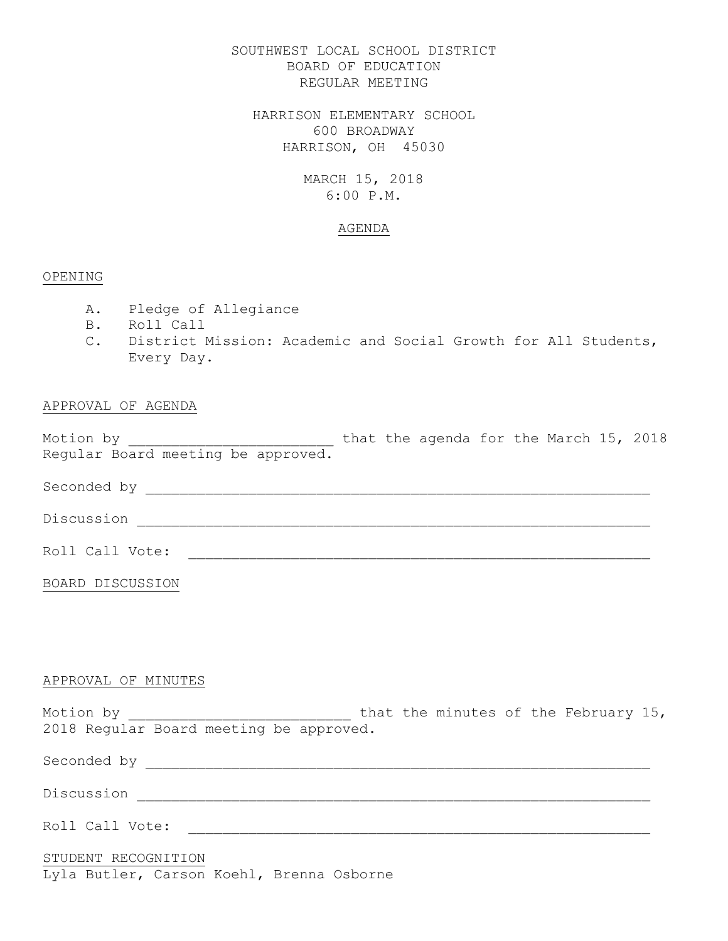# SOUTHWEST LOCAL SCHOOL DISTRICT BOARD OF EDUCATION REGULAR MEETING

HARRISON ELEMENTARY SCHOOL 600 BROADWAY HARRISON, OH 45030

# MARCH 15, 2018 6:00 P.M.

### AGENDA

## OPENING

- A. Pledge of Allegiance
- B. Roll Call
- C. District Mission: Academic and Social Growth for All Students, Every Day.

# APPROVAL OF AGENDA

Motion by  $\hskip 1.6cm$  hat the agenda for the March 15, 2018 Regular Board meeting be approved.

Seconded by  $\overline{a}$ 

Discussion \_\_\_\_\_\_\_\_\_\_\_\_\_\_\_\_\_\_\_\_\_\_\_\_\_\_\_\_\_\_\_\_\_\_\_\_\_\_\_\_\_\_\_\_\_\_\_\_\_\_\_\_\_\_\_\_\_\_\_\_

Roll Call Vote: \_\_\_\_\_\_\_\_\_\_\_\_\_\_\_\_\_\_\_\_\_\_\_\_\_\_\_\_\_\_\_\_\_\_\_\_\_\_\_\_\_\_\_\_\_\_\_\_\_\_\_\_\_\_

BOARD DISCUSSION

## APPROVAL OF MINUTES

Motion by \_\_\_\_\_\_\_\_\_\_\_\_\_\_\_\_\_\_\_\_\_\_\_\_\_\_\_\_ that the minutes of the February 15, 2018 Regular Board meeting be approved.

Seconded by \_\_\_\_\_\_\_\_\_\_\_\_\_\_\_\_\_\_\_\_\_\_\_\_\_\_\_\_\_\_\_\_\_\_\_\_\_\_\_\_\_\_\_\_\_\_\_\_\_\_\_\_\_\_\_\_\_\_\_

Discussion \_\_\_\_\_\_\_\_\_\_\_\_\_\_\_\_\_\_\_\_\_\_\_\_\_\_\_\_\_\_\_\_\_\_\_\_\_\_\_\_\_\_\_\_\_\_\_\_\_\_\_\_\_\_\_\_\_\_\_\_

Roll Call Vote: \_\_\_\_\_\_\_\_\_\_\_\_\_\_\_\_\_\_\_\_\_\_\_\_\_\_\_\_\_\_\_\_\_\_\_\_\_\_\_\_\_\_\_\_\_\_\_\_\_\_\_\_\_\_

## STUDENT RECOGNITION

Lyla Butler, Carson Koehl, Brenna Osborne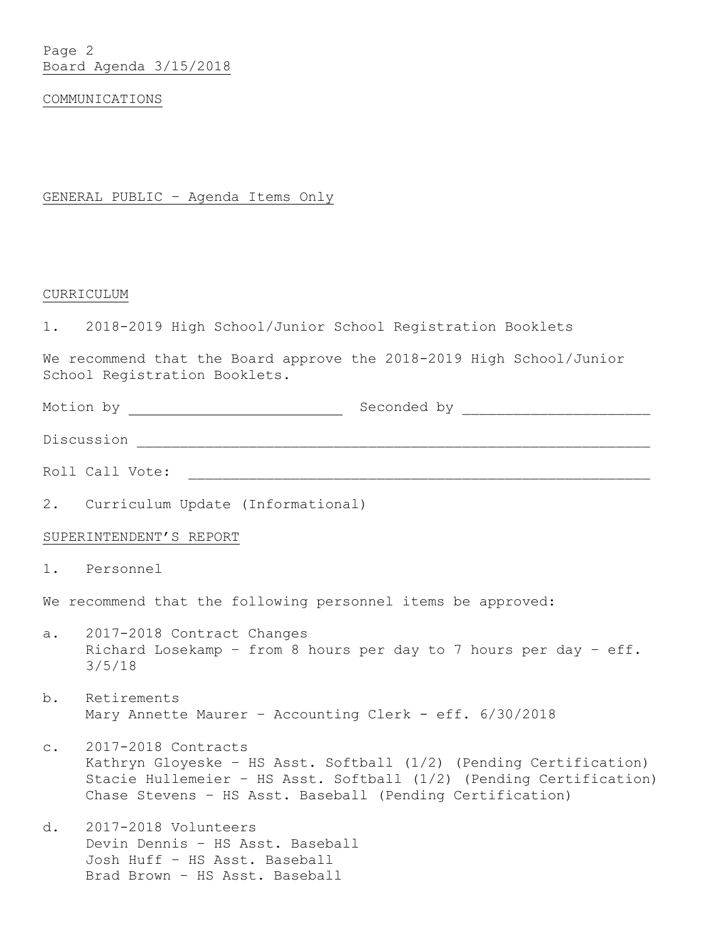Page 2 Board Agenda 3/15/2018

### COMMUNICATIONS

GENERAL PUBLIC – Agenda Items Only

#### CURRICULUM

1. 2018-2019 High School/Junior School Registration Booklets

We recommend that the Board approve the 2018-2019 High School/Junior School Registration Booklets.

Motion by Seconded by \_\_\_\_\_\_\_\_\_\_\_\_\_\_\_\_\_\_\_\_\_\_

Discussion \_\_\_\_\_\_\_\_\_\_\_\_\_\_\_\_\_\_\_\_\_\_\_\_\_\_\_\_\_\_\_\_\_\_\_\_\_\_\_\_\_\_\_\_\_\_\_\_\_\_\_\_\_\_\_\_\_\_\_\_

Roll Call Vote: \_\_\_\_\_\_\_\_\_\_\_\_\_\_\_\_\_\_\_\_\_\_\_\_\_\_\_\_\_\_\_\_\_\_\_\_\_\_\_\_\_\_\_\_\_\_\_\_\_\_\_\_\_\_

2. Curriculum Update (Informational)

## SUPERINTENDENT'S REPORT

1. Personnel

We recommend that the following personnel items be approved:

- a. 2017-2018 Contract Changes Richard Losekamp – from 8 hours per day to 7 hours per day – eff. 3/5/18
- b. Retirements Mary Annette Maurer - Accounting Clerk - eff. 6/30/2018
- c. 2017-2018 Contracts Kathryn Gloyeske – HS Asst. Softball (1/2) (Pending Certification) Stacie Hullemeier – HS Asst. Softball (1/2) (Pending Certification) Chase Stevens – HS Asst. Baseball (Pending Certification)
- d. 2017-2018 Volunteers Devin Dennis – HS Asst. Baseball Josh Huff – HS Asst. Baseball Brad Brown – HS Asst. Baseball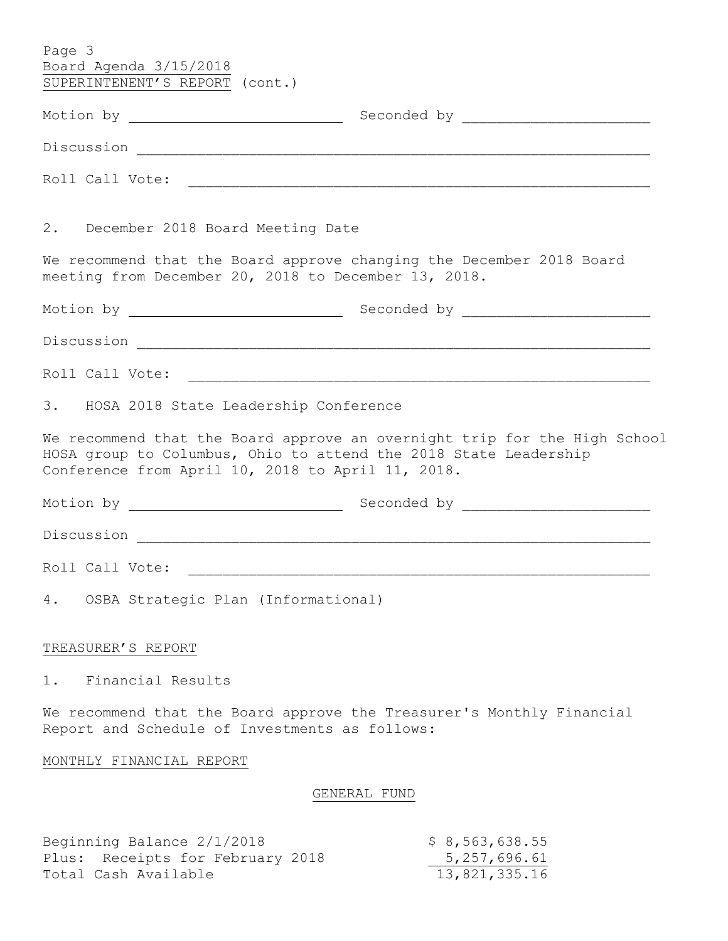| Page 3<br>Board Agenda 3/15/2018                               |                                                                                                                                               |
|----------------------------------------------------------------|-----------------------------------------------------------------------------------------------------------------------------------------------|
| SUPERINTENENT'S REPORT (cont.)                                 |                                                                                                                                               |
|                                                                |                                                                                                                                               |
|                                                                |                                                                                                                                               |
|                                                                |                                                                                                                                               |
| 2. December 2018 Board Meeting Date                            |                                                                                                                                               |
| meeting from December 20, 2018 to December 13, 2018.           | We recommend that the Board approve changing the December 2018 Board                                                                          |
|                                                                |                                                                                                                                               |
|                                                                |                                                                                                                                               |
|                                                                | Roll Call Vote:                                                                                                                               |
| 3. HOSA 2018 State Leadership Conference                       |                                                                                                                                               |
| Conference from April 10, 2018 to April 11, 2018.              | We recommend that the Board approve an overnight trip for the High School<br>HOSA group to Columbus, Ohio to attend the 2018 State Leadership |
|                                                                |                                                                                                                                               |
|                                                                |                                                                                                                                               |
| Roll Call Vote:                                                |                                                                                                                                               |
| 4. OSBA Strategic Plan (Informational)                         |                                                                                                                                               |
| TREASURER'S REPORT                                             |                                                                                                                                               |
| Financial Results<br>1.                                        |                                                                                                                                               |
| Report and Schedule of Investments as follows:                 | We recommend that the Board approve the Treasurer's Monthly Financial                                                                         |
| MONTHLY FINANCIAL REPORT                                       |                                                                                                                                               |
|                                                                | GENERAL FUND                                                                                                                                  |
| Beginning Balance 2/1/2018<br>Plus: Receipts for February 2018 | \$8,563,638.55<br>5, 257, 696.61                                                                                                              |

Total Cash Available 13,821,335.16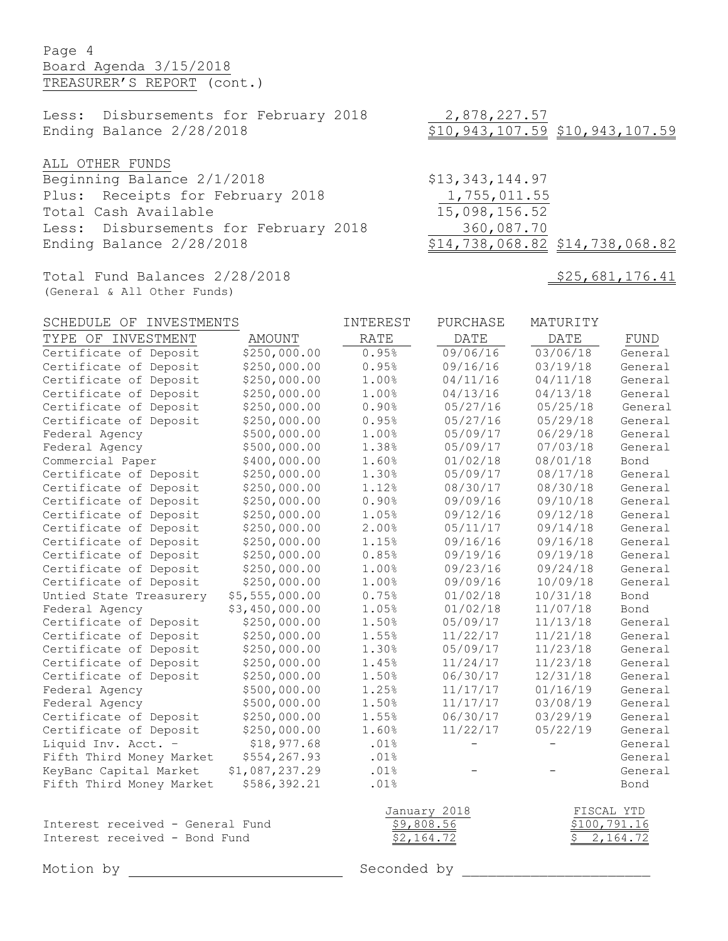# Page 4 Board Agenda 3/15/2018 TREASURER'S REPORT (cont.)

Less: Disbursements for February 2018 2,878,227.57 Ending Balance 2/28/2018 \$10,943,107.59 \$10,943,107.59

ALL OTHER FUNDS

Beginning Balance 2/1/2018 \$13,343,144.97 Plus: Receipts for February 2018 1,755,011.55 Total Cash Available 15,098,156.52 Less: Disbursements for February 2018 360,087.70 Ending Balance 2/28/2018 \$14,738,068.82 \$14,738,068.82

Total Fund Balances 2/28/2018 \$25,681,176.41 (General & All Other Funds)

| SCHEDULE OF INVESTMENTS                                           |                | INTEREST                 | PURCHASE          | MATURITY                 |         |
|-------------------------------------------------------------------|----------------|--------------------------|-------------------|--------------------------|---------|
| TYPE OF INVESTMENT                                                | <b>AMOUNT</b>  | <b>RATE</b>              | DATE              | <b>DATE</b>              | FUND    |
| Certificate of Deposit                                            | \$250,000.00   | 0.95%                    | 09/06/16          | 03/06/18                 | General |
| Certificate of Deposit                                            | \$250,000.00   | 0.95%                    | 09/16/16          | 03/19/18                 | General |
| Certificate of Deposit                                            | \$250,000.00   | 1.00%                    | 04/11/16          | 04/11/18                 | General |
| Certificate of Deposit                                            | \$250,000.00   | 1.00%                    | 04/13/16          | 04/13/18                 | General |
| Certificate of Deposit                                            | \$250,000.00   | 0.90%                    | 05/27/16          | 05/25/18                 | General |
| Certificate of Deposit                                            | \$250,000.00   | 0.95%                    | 05/27/16          | 05/29/18                 | General |
| Federal Agency                                                    | \$500,000.00   | 1.00%                    | 05/09/17          | 06/29/18                 | General |
| Federal Agency                                                    | \$500,000.00   | 1.38%                    | 05/09/17          | 07/03/18                 | General |
| Commercial Paper                                                  | \$400,000.00   | 1.60%                    | 01/02/18          | 08/01/18                 | Bond    |
| Certificate of Deposit                                            | \$250,000.00   | 1.30%                    | 05/09/17          | 08/17/18                 | General |
| Certificate of Deposit                                            | \$250,000.00   | 1.12%                    | 08/30/17          | 08/30/18                 | General |
| Certificate of Deposit                                            | \$250,000.00   | 0.90%                    | 09/09/16          | 09/10/18                 | General |
| Certificate of Deposit                                            | \$250,000.00   | 1.05%                    | 09/12/16          | 09/12/18                 | General |
| Certificate of Deposit                                            | \$250,000.00   | 2.00%                    | 05/11/17          | 09/14/18                 | General |
| Certificate of Deposit                                            | \$250,000.00   | 1.15%                    | 09/16/16          | 09/16/18                 | General |
| Certificate of Deposit                                            | \$250,000.00   | 0.85%                    | 09/19/16          | 09/19/18                 | General |
| Certificate of Deposit                                            | \$250,000.00   | 1.00%                    | 09/23/16          | 09/24/18                 | General |
| Certificate of Deposit                                            | \$250,000.00   | 1.00%                    | 09/09/16          | 10/09/18                 | General |
| Untied State Treasurery                                           | \$5,555,000.00 | 0.75%                    | 01/02/18          | 10/31/18                 | Bond    |
| Federal Agency                                                    | \$3,450,000.00 | 1.05%                    | 01/02/18          | 11/07/18                 | Bond    |
| Certificate of Deposit                                            | \$250,000.00   | 1.50%                    | 05/09/17          | 11/13/18                 | General |
| Certificate of Deposit                                            | \$250,000.00   | 1.55%                    | 11/22/17          | 11/21/18                 | General |
| Certificate of Deposit                                            | \$250,000.00   | 1.30%                    | 05/09/17          | 11/23/18                 | General |
| Certificate of Deposit                                            | \$250,000.00   | 1.45%                    | 11/24/17          | 11/23/18                 | General |
| Certificate of Deposit                                            | \$250,000.00   | 1.50%                    | 06/30/17          | 12/31/18                 | General |
| Federal Agency                                                    | \$500,000.00   | 1.25%                    | 11/17/17          | 01/16/19                 | General |
| Federal Agency                                                    | \$500,000.00   | 1.50%                    | 11/17/17          | 03/08/19                 | General |
| Certificate of Deposit                                            | \$250,000.00   | 1.55%                    | 06/30/17          | 03/29/19                 | General |
| Certificate of Deposit                                            | \$250,000.00   | 1.60%                    | 11/22/17          | 05/22/19                 | General |
| Liquid Inv. Acct. -                                               | \$18,977.68    | .01%                     | $\qquad \qquad -$ | $\qquad \qquad -$        | General |
| Fifth Third Money Market                                          | \$554,267.93   | .01%                     |                   |                          | General |
| KeyBanc Capital Market                                            | \$1,087,237.29 | .01%                     |                   |                          | General |
| Fifth Third Money Market                                          | \$586,392.21   | .01%                     |                   |                          | Bond    |
|                                                                   |                |                          |                   |                          |         |
|                                                                   |                | January 2018             |                   | FISCAL YTD               |         |
| Interest received - General Fund<br>Interest received - Bond Fund |                | \$9,808.56<br>\$2,164.72 |                   | \$100,791.16<br>2,164.72 |         |
|                                                                   |                |                          |                   | \$                       |         |
| Motion by                                                         |                | Seconded by              |                   |                          |         |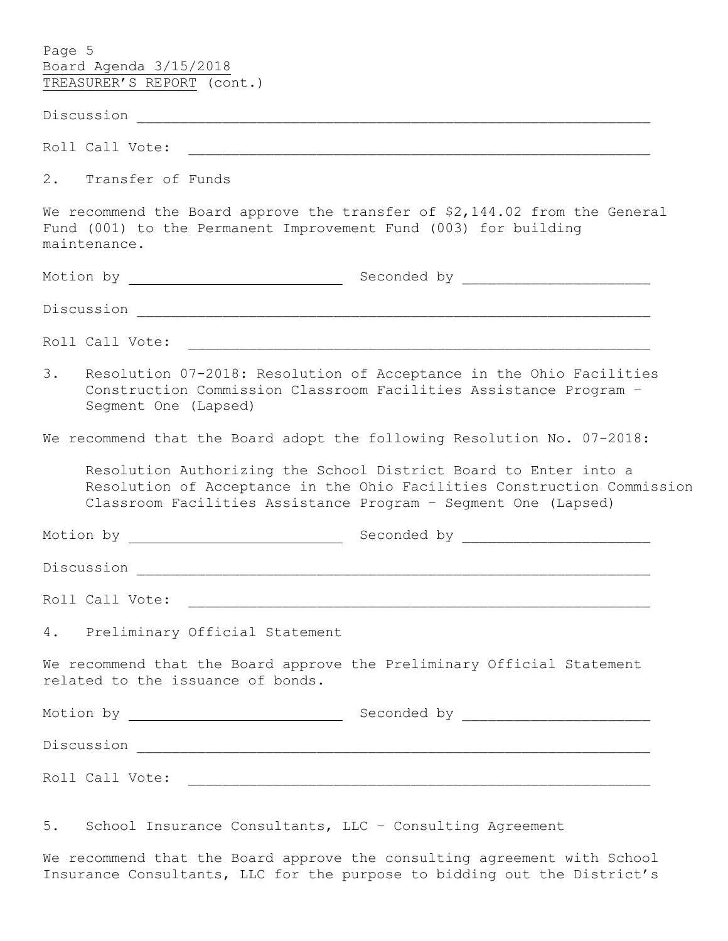| Page 5<br>Board Agenda 3/15/2018<br>TREASURER'S REPORT (cont.)                                                                                                                                                |  |  |  |  |  |
|---------------------------------------------------------------------------------------------------------------------------------------------------------------------------------------------------------------|--|--|--|--|--|
|                                                                                                                                                                                                               |  |  |  |  |  |
|                                                                                                                                                                                                               |  |  |  |  |  |
| 2. Transfer of Funds                                                                                                                                                                                          |  |  |  |  |  |
| We recommend the Board approve the transfer of \$2,144.02 from the General<br>Fund (001) to the Permanent Improvement Fund (003) for building<br>maintenance.                                                 |  |  |  |  |  |
|                                                                                                                                                                                                               |  |  |  |  |  |
|                                                                                                                                                                                                               |  |  |  |  |  |
| Roll Call Vote:<br><u> 1980 - Jan James James James James James James James James James James James James James James James James J</u>                                                                       |  |  |  |  |  |
| 3.<br>Resolution 07-2018: Resolution of Acceptance in the Ohio Facilities<br>Construction Commission Classroom Facilities Assistance Program -<br>Segment One (Lapsed)                                        |  |  |  |  |  |
| We recommend that the Board adopt the following Resolution No. 07-2018:                                                                                                                                       |  |  |  |  |  |
| Resolution Authorizing the School District Board to Enter into a<br>Resolution of Acceptance in the Ohio Facilities Construction Commission<br>Classroom Facilities Assistance Program - Segment One (Lapsed) |  |  |  |  |  |
|                                                                                                                                                                                                               |  |  |  |  |  |
| Discussion                                                                                                                                                                                                    |  |  |  |  |  |
| Roll Call Vote:                                                                                                                                                                                               |  |  |  |  |  |
| 4. Preliminary Official Statement                                                                                                                                                                             |  |  |  |  |  |
| We recommend that the Board approve the Preliminary Official Statement<br>related to the issuance of bonds.                                                                                                   |  |  |  |  |  |
|                                                                                                                                                                                                               |  |  |  |  |  |
|                                                                                                                                                                                                               |  |  |  |  |  |
|                                                                                                                                                                                                               |  |  |  |  |  |

5. School Insurance Consultants, LLC – Consulting Agreement

We recommend that the Board approve the consulting agreement with School Insurance Consultants, LLC for the purpose to bidding out the District's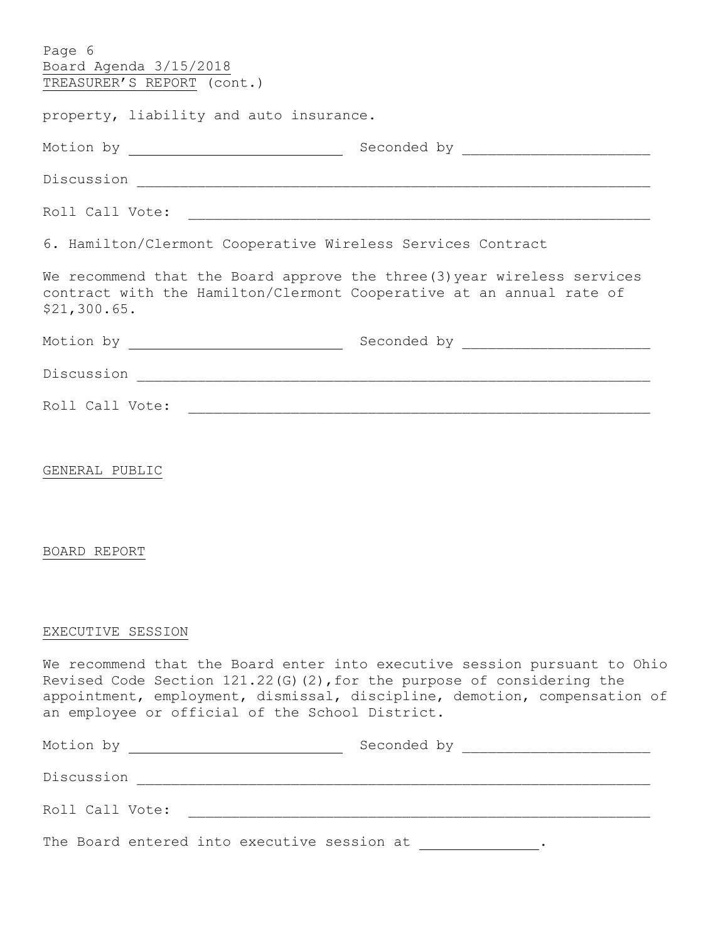| Page 6<br>Board Agenda 3/15/2018<br>TREASURER'S REPORT (cont.)                                                                                                   |                                                                                                                                                        |  |  |  |  |
|------------------------------------------------------------------------------------------------------------------------------------------------------------------|--------------------------------------------------------------------------------------------------------------------------------------------------------|--|--|--|--|
| property, liability and auto insurance.                                                                                                                          |                                                                                                                                                        |  |  |  |  |
|                                                                                                                                                                  |                                                                                                                                                        |  |  |  |  |
|                                                                                                                                                                  |                                                                                                                                                        |  |  |  |  |
|                                                                                                                                                                  |                                                                                                                                                        |  |  |  |  |
| 6. Hamilton/Clermont Cooperative Wireless Services Contract                                                                                                      |                                                                                                                                                        |  |  |  |  |
| We recommend that the Board approve the three (3) year wireless services<br>contract with the Hamilton/Clermont Cooperative at an annual rate of<br>\$21,300.65. |                                                                                                                                                        |  |  |  |  |
|                                                                                                                                                                  |                                                                                                                                                        |  |  |  |  |
|                                                                                                                                                                  |                                                                                                                                                        |  |  |  |  |
|                                                                                                                                                                  |                                                                                                                                                        |  |  |  |  |
| GENERAL PUBLIC<br>BOARD REPORT                                                                                                                                   |                                                                                                                                                        |  |  |  |  |
| EXECUTIVE SESSION                                                                                                                                                |                                                                                                                                                        |  |  |  |  |
| Revised Code Section $121.22$ (G) (2), for the purpose of considering the<br>an employee or official of the School District.                                     | We recommend that the Board enter into executive session pursuant to Ohio<br>appointment, employment, dismissal, discipline, demotion, compensation of |  |  |  |  |
|                                                                                                                                                                  |                                                                                                                                                        |  |  |  |  |
|                                                                                                                                                                  |                                                                                                                                                        |  |  |  |  |
|                                                                                                                                                                  |                                                                                                                                                        |  |  |  |  |
| The Board entered into executive session at ______________.                                                                                                      |                                                                                                                                                        |  |  |  |  |